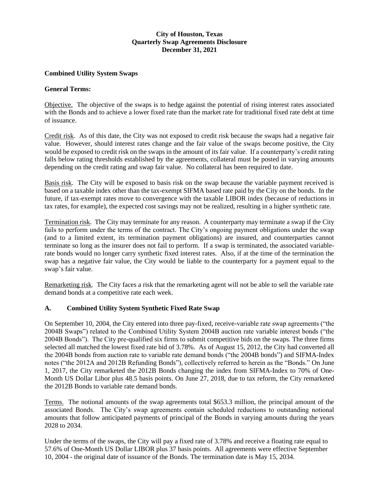# **City of Houston, Texas Quarterly Swap Agreements Disclosure December 31, 2021**

### **Combined Utility System Swaps**

#### **General Terms:**

Objective. The objective of the swaps is to hedge against the potential of rising interest rates associated with the Bonds and to achieve a lower fixed rate than the market rate for traditional fixed rate debt at time of issuance.

Credit risk. As of this date, the City was not exposed to credit risk because the swaps had a negative fair value. However, should interest rates change and the fair value of the swaps become positive, the City would be exposed to credit risk on the swaps in the amount of its fair value. If a counterparty's credit rating falls below rating thresholds established by the agreements, collateral must be posted in varying amounts depending on the credit rating and swap fair value. No collateral has been required to date.

Basis risk. The City will be exposed to basis risk on the swap because the variable payment received is based on a taxable index other than the tax-exempt SIFMA based rate paid by the City on the bonds. In the future, if tax-exempt rates move to convergence with the taxable LIBOR index (because of reductions in tax rates, for example), the expected cost savings may not be realized, resulting in a higher synthetic rate.

Termination risk. The City may terminate for any reason. A counterparty may terminate a swap if the City fails to perform under the terms of the contract. The City's ongoing payment obligations under the swap (and to a limited extent, its termination payment obligations) are insured, and counterparties cannot terminate so long as the insurer does not fail to perform. If a swap is terminated, the associated variablerate bonds would no longer carry synthetic fixed interest rates. Also, if at the time of the termination the swap has a negative fair value, the City would be liable to the counterparty for a payment equal to the swap's fair value.

Remarketing risk. The City faces a risk that the remarketing agent will not be able to sell the variable rate demand bonds at a competitive rate each week.

#### **A. Combined Utility System Synthetic Fixed Rate Swap**

On September 10, 2004, the City entered into three pay-fixed, receive-variable rate swap agreements ("the 2004B Swaps") related to the Combined Utility System 2004B auction rate variable interest bonds ("the 2004B Bonds"). The City pre-qualified six firms to submit competitive bids on the swaps. The three firms selected all matched the lowest fixed rate bid of 3.78%. As of August 15, 2012, the City had converted all the 2004B bonds from auction rate to variable rate demand bonds ("the 2004B bonds") and SIFMA-Index notes ("the 2012A and 2012B Refunding Bonds"), collectively referred to herein as the "Bonds." On June 1, 2017, the City remarketed the 2012B Bonds changing the index from SIFMA-Index to 70% of One-Month US Dollar Libor plus 48.5 basis points. On June 27, 2018, due to tax reform, the City remarketed the 2012B Bonds to variable rate demand bonds.

Terms. The notional amounts of the swap agreements total \$653.3 million, the principal amount of the associated Bonds. The City's swap agreements contain scheduled reductions to outstanding notional amounts that follow anticipated payments of principal of the Bonds in varying amounts during the years 2028 to 2034.

Under the terms of the swaps, the City will pay a fixed rate of 3.78% and receive a floating rate equal to 57.6% of One-Month US Dollar LIBOR plus 37 basis points. All agreements were effective September 10, 2004 - the original date of issuance of the Bonds. The termination date is May 15, 2034.